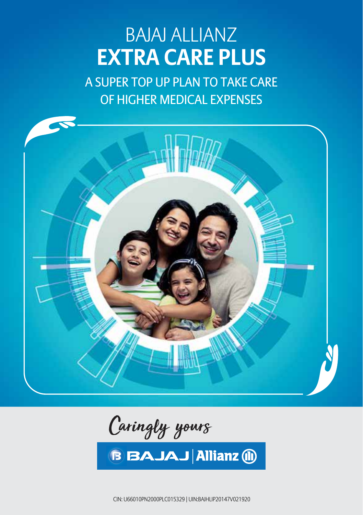# BAJAJ ALLIANZ **EXTRA CARE PLUS**

A SUPER TOP UP PLAN TO TAKE CARE OF HIGHER MEDICAL EXPENSES



Caringly yours

**BBAJAJ Allianz (ii)** 

 CIN: U66010PN2000PLC015329, UIN:BAJHLIP20147V021920 1 CIN: U66010PN2000PLC015329 | UIN:BAJHLIP20147V021920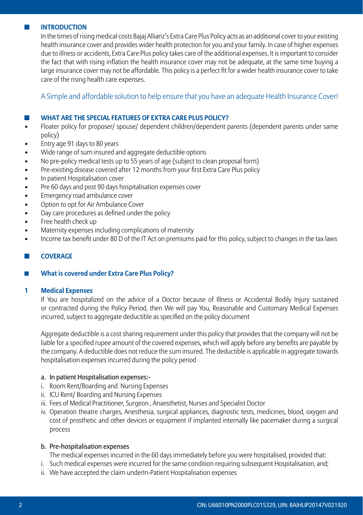#### $I$  **INTRODUCTION**

 In the times of rising medical costs Bajaj Allianz's Extra Care Plus Policy acts as an additional cover to your existing health insurance cover and provides wider health protection for you and your family. In case of higher expenses due to illness or accidents, Extra Care Plus policy takes care of the additional expenses. It is important to consider the fact that with rising inflation the health insurance cover may not be adequate, at the same time buying a large insurance cover may not be affordable. This policy is a perfect fit for a wider health insurance cover to take care of the rising health care expenses.

A Simple and affordable solution to help ensure that you have an adequate Health Insurance Cover!

#### ◼ **What are the special features of Extra Care Plus policy?**

- Floater policy for proposer/ spouse/ dependent children/dependent parents (dependent parents under same policy)
- Entry age 91 days to 80 years
- Wide range of sum insured and aggregate deductible options
- No pre-policy medical tests up to 55 years of age (subject to clean proposal form)
- Pre-existing disease covered after 12 months from your first Extra Care Plus policy
- In patient Hospitalisation cover
- Pre 60 days and post 90 days hospitalisation expenses cover
- Emergency road ambulance cover
- Option to opt for Air Ambulance Cover
- Day care procedures as defined under the policy
- Free health check up
- Maternity expenses including complications of maternity
- Income tax benefit under 80 D of the IT Act on premiums paid for this policy, subject to changes in the tax laws

#### ■ **COVERAGE**

#### ■ **What is covered under Extra Care Plus Policy?**

#### **1 Medical Expenses**

 If You are hospitalized on the advice of a Doctor because of Illness or Accidental Bodily Injury sustained or contracted during the Policy Period, then We will pay You, Reasonable and Customary Medical Expenses incurred, subject to aggregate deductible as specified on the policy document

 Aggregate deductible is a cost sharing requirement under this policy that provides that the company will not be liable for a specified rupee amount of the covered expenses, which will apply before any benefits are payable by the company. A deductible does not reduce the sum insured. The deductible is applicable in aggregate towards hospitalisation expenses incurred during the policy period

## a. In patient Hospitalisation expenses:-

- i. Room Rent/Boarding and Nursing Expenses
- ii. ICU Rent/ Boarding and Nursing Expenses
- iii. Fees of Medical Practitioner, Surgeon , Anaesthetist, Nurses and Specialist Doctor
- iv. Operation theatre charges, Anesthesia, surgical appliances, diagnostic tests, medicines, blood, oxygen and cost of prosthetic and other devices or equipment if implanted internally like pacemaker during a surgical process

#### b. Pre-hospitalisation expenses

The medical expenses incurred in the 60 days immediately before you were hospitalised, provided that:

- i. Such medical expenses were incurred for the same condition requiring subsequent Hospitalisation, and;
- ii. We have accepted the claim underIn-Patient Hospitalisation expenses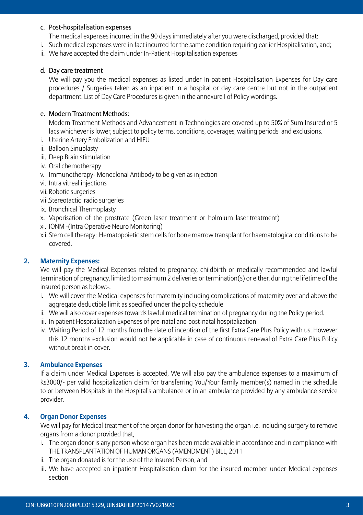#### c. Post-hospitalisation expenses

The medical expenses incurred in the 90 days immediately after you were discharged, provided that:

- i. Such medical expenses were in fact incurred for the same condition requiring earlier Hospitalisation, and;
- ii. We have accepted the claim under In-Patient Hospitalisation expenses

#### d. Day care treatment

 We will pay you the medical expenses as listed under In-patient Hospitalisation Expenses for Day care procedures / Surgeries taken as an inpatient in a hospital or day care centre but not in the outpatient department. List of Day Care Procedures is given in the annexure I of Policy wordings.

#### e. Modern Treatment Methods:

 Modern Treatment Methods and Advancement in Technologies are covered up to 50% of Sum Insured or 5 lacs whichever is lower, subject to policy terms, conditions, coverages, waiting periods and exclusions.

- i. Uterine Artery Embolization and HIFU
- ii. Balloon Sinuplasty
- iii. Deep Brain stimulation
- iv. Oral chemotherapy
- v. Immunotherapy- Monoclonal Antibody to be given as injection
- vi. Intra vitreal injections
- vii. Robotic surgeries
- viii.Stereotactic radio surgeries
- ix. Bronchical Thermoplasty
- x. Vaporisation of the prostrate (Green laser treatment or holmium laser treatment)
- xi. IONM -(Intra Operative Neuro Monitoring)
- xii. Stem cell therapy: Hematopoietic stem cells for bone marrow transplant for haematological conditions to be covered.

#### **2. Maternity Expenses:**

 We will pay the Medical Expenses related to pregnancy, childbirth or medically recommended and lawful termination of pregnancy, limited to maximum 2 deliveries or termination(s) or either, during the lifetime of the insured person as below:-.

- i. We will cover the Medical expenses for maternity including complications of maternity over and above the aggregate deductible limit as specified under the policy schedule
- ii. We will also cover expenses towards lawful medical termination of pregnancy during the Policy period.
- iii. In patient Hospitalization Expenses of pre-natal and post-natal hospitalization
- iv. Waiting Period of 12 months from the date of inception of the first Extra Care Plus Policy with us. However this 12 months exclusion would not be applicable in case of continuous renewal of Extra Care Plus Policy without break in cover.

#### **3. Ambulance Expenses**

 If a claim under Medical Expenses is accepted, We will also pay the ambulance expenses to a maximum of Rs3000/- per valid hospitalization claim for transferring You/Your family member(s) named in the schedule to or between Hospitals in the Hospital's ambulance or in an ambulance provided by any ambulance service provider.

#### **4. Organ Donor Expenses**

 We will pay for Medical treatment of the organ donor for harvesting the organ i.e. including surgery to remove organs from a donor provided that,

- i. The organ donor is any person whose organ has been made available in accordance and in compliance with THE TRANSPLANTATION OF HUMAN ORGANS (AMENDMENT) BILL, 2011
- ii. The organ donated is for the use of the Insured Person, and
- iii. We have accepted an inpatient Hospitalisation claim for the insured member under Medical expenses section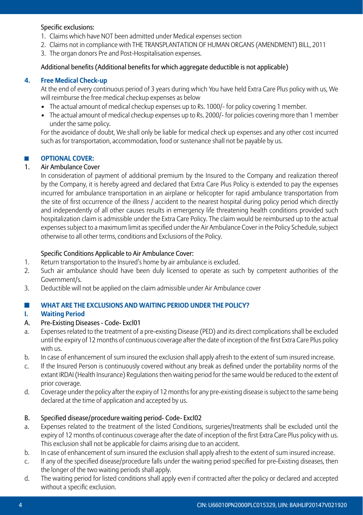## Specific exclusions:

- 1. Claims which have NOT been admitted under Medical expenses section
- 2. Claims not in compliance with THE TRANSPLANTATION OF HUMAN ORGANS (AMENDMENT) BILL, 2011
- 3. The organ donors Pre and Post-Hospitalisation expenses.

# Additional benefits (Additional benefits for which aggregate deductible is not applicable)

## **4. Free Medical Check-up**

 At the end of every continuous period of 3 years during which You have held Extra Care Plus policy with us, We will reimburse the free medical checkup expenses as below

- The actual amount of medical checkup expenses up to Rs. 1000/- for policy covering 1 member.
- The actual amount of medical checkup expenses up to Rs. 2000/- for policies covering more than 1 member under the same policy.

 For the avoidance of doubt, We shall only be liable for medical check up expenses and any other cost incurred such as for transportation, accommodation, food or sustenance shall not be payable by us.

## ■ OPTIONAL COVER:

## 1. Air Ambulance Cover

 In consideration of payment of additional premium by the Insured to the Company and realization thereof by the Company, it is hereby agreed and declared that Extra Care Plus Policy is extended to pay the expenses incurred for ambulance transportation in an airplane or helicopter for rapid ambulance transportation from the site of first occurrence of the illness / accident to the nearest hospital during policy period which directly and independently of all other causes results in emergency life threatening health conditions provided such hospitalization claim is admissible under the Extra Care Policy. The claim would be reimbursed up to the actual expenses subject to a maximum limit as specified under the Air Ambulance Cover in the Policy Schedule, subject otherwise to all other terms, conditions and Exclusions of the Policy.

## Specific Conditions Applicable to Air Ambulance Cover:

- 1. Return transportation to the Insured's home by air ambulance is excluded.
- 2. Such air ambulance should have been duly licensed to operate as such by competent authorities of the Government/s.
- 3. Deductible will not be applied on the claim admissible under Air Ambulance cover

## ◼ **What are the exclusions and waiting period under the policy?**

# **I. Waiting Period**

## A. Pre-Existing Diseases - Code- Excl01

- a. Expenses related to the treatment of a pre-existing Disease (PED) and its direct complications shall be excluded until the expiry of 12 months of continuous coverage after the date of inception of the first Extra Care Plus policy with us.
- b. In case of enhancement of sum insured the exclusion shall apply afresh to the extent of sum insured increase.
- c. If the Insured Person is continuously covered without any break as defined under the portability norms of the extant IRDAI (Health Insurance) Regulations then waiting period for the same would be reduced to the extent of prior coverage.
- d. Coverage under the policy after the expiry of 12 months for any pre-existing disease is subject to the same being declared at the time of application and accepted by us.

# B. Specified disease/procedure waiting period- Code- Excl02

- a. Expenses related to the treatment of the listed Conditions, surgeries/treatments shall be excluded until the expiry of 12 months of continuous coverage after the date of inception of the first Extra Care Plus policy with us. This exclusion shall not be applicable for claims arising due to an accident.
- b. In case of enhancement of sum insured the exclusion shall apply afresh to the extent of sum insured increase.
- c. If any of the specified disease/procedure falls under the waiting period specified for pre-Existing diseases, then the longer of the two waiting periods shall apply.
- d. The waiting period for listed conditions shall apply even if contracted after the policy or declared and accepted without a specific exclusion.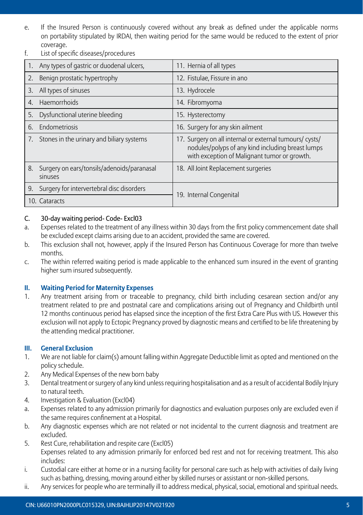- e. If the Insured Person is continuously covered without any break as defined under the applicable norms on portability stipulated by IRDAI, then waiting period for the same would be reduced to the extent of prior coverage.
- f. List of specific diseases/procedures

|    | Any types of gastric or duodenal ulcers,              | 11. Hernia of all types                                                                                                                                      |
|----|-------------------------------------------------------|--------------------------------------------------------------------------------------------------------------------------------------------------------------|
| 2. | Benign prostatic hypertrophy                          | 12. Fistulae, Fissure in ano                                                                                                                                 |
| 3. | All types of sinuses                                  | 13. Hydrocele                                                                                                                                                |
| 4. | Haemorrhoids                                          | 14. Fibromyoma                                                                                                                                               |
| 5. | Dysfunctional uterine bleeding                        | 15. Hysterectomy                                                                                                                                             |
| 6. | Endometriosis                                         | 16. Surgery for any skin ailment                                                                                                                             |
|    | 7. Stones in the urinary and biliary systems          | 17. Surgery on all internal or external tumours/ cysts/<br>nodules/polyps of any kind including breast lumps<br>with exception of Malignant tumor or growth. |
| 8. | Surgery on ears/tonsils/adenoids/paranasal<br>sinuses | 18. All Joint Replacement surgeries                                                                                                                          |
|    | 9. Surgery for intervertebral disc disorders          |                                                                                                                                                              |
|    | 10. Cataracts                                         | 19. Internal Congenital                                                                                                                                      |

## C. 30-day waiting period- Code- Excl03

- a. Expenses related to the treatment of any illness within 30 days from the first policy commencement date shall be excluded except claims arising due to an accident, provided the same are covered.
- b. This exclusion shall not, however, apply if the Insured Person has Continuous Coverage for more than twelve months.
- c. The within referred waiting period is made applicable to the enhanced sum insured in the event of granting higher sum insured subsequently.

## **II. Waiting Period for Maternity Expenses**

1. Any treatment arising from or traceable to pregnancy, child birth including cesarean section and/or any treatment related to pre and postnatal care and complications arising out of Pregnancy and Childbirth until 12 months continuous period has elapsed since the inception of the first Extra Care Plus with US. However this exclusion will not apply to Ectopic Pregnancy proved by diagnostic means and certified to be life threatening by the attending medical practitioner.

## **III. General Exclusion**

- 1. We are not liable for claim(s) amount falling within Aggregate Deductible limit as opted and mentioned on the policy schedule.
- 2. Any Medical Expenses of the new born baby
- 3. Dental treatment or surgery of any kind unless requiring hospitalisation and as a result of accidental Bodily Injury to natural teeth.
- 4. Investigation & Evaluation (Excl04)
- a. Expenses related to any admission primarily for diagnostics and evaluation purposes only are excluded even if the same requires confinement at a Hospital.
- b. Any diagnostic expenses which are not related or not incidental to the current diagnosis and treatment are excluded.
- 5. Rest Cure, rehabilitation and respite care (Excl05) Expenses related to any admission primarily for enforced bed rest and not for receiving treatment. This also includes:
- i. Custodial care either at home or in a nursing facility for personal care such as help with activities of daily living such as bathing, dressing, moving around either by skilled nurses or assistant or non-skilled persons.
- ii. Any services for people who are terminally ill to address medical, physical, social, emotional and spiritual needs.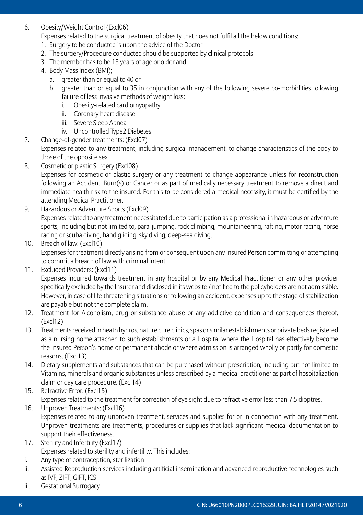6. Obesity/Weight Control (Excl06)

Expenses related to the surgical treatment of obesity that does not fulfil all the below conditions:

- 1. Surgery to be conducted is upon the advice of the Doctor
- 2. The surgery/Procedure conducted should be supported by clinical protocols
- 3. The member has to be 18 years of age or older and
- 4. Body Mass Index (BMI);
	- a. greater than or equal to 40 or
	- b. greater than or equal to 35 in conjunction with any of the following severe co-morbidities following failure of less invasive methods of weight loss:
		- i. Obesity-related cardiomyopathy
		- ii. Coronary heart disease
		- iii. Severe Sleep Apnea
		- iv. Uncontrolled Type2 Diabetes
- 7. Change-of-gender treatments: (Excl07)

 Expenses related to any treatment, including surgical management, to change characteristics of the body to those of the opposite sex

8. Cosmetic or plastic Surgery (Excl08)

 Expenses for cosmetic or plastic surgery or any treatment to change appearance unless for reconstruction following an Accident, Burn(s) or Cancer or as part of medically necessary treatment to remove a direct and immediate health risk to the insured. For this to be considered a medical necessity, it must be certified by the attending Medical Practitioner.

- 9. Hazardous or Adventure Sports (Excl09) Expenses related to any treatment necessitated due to participation as a professional in hazardous or adventure sports, including but not limited to, para-jumping, rock climbing, mountaineering, rafting, motor racing, horse racing or scuba diving, hand gliding, sky diving, deep-sea diving.
- 10. Breach of law: (Excl10) Expenses for treatment directly arising from or consequent upon any Insured Person committing or attempting to commit a breach of law with criminal intent.
- 11. Excluded Providers: (Excl11)

 Expenses incurred towards treatment in any hospital or by any Medical Practitioner or any other provider specifically excluded by the Insurer and disclosed in its website / notified to the policyholders are not admissible. However, in case of life threatening situations or following an accident, expenses up to the stage of stabilization are payable but not the complete claim.

- 12. Treatment for Alcoholism, drug or substance abuse or any addictive condition and consequences thereof. (Excl12)
- 13. Treatments received in heath hydros, nature cure clinics, spas or similar establishments or private beds registered as a nursing home attached to such establishments or a Hospital where the Hospital has effectively become the Insured Person's home or permanent abode or where admission is arranged wholly or partly for domestic reasons. (Excl13)
- 14. Dietary supplements and substances that can be purchased without prescription, including but not limited to Vitamins, minerals and organic substances unless prescribed by a medical practitioner as part of hospitalization claim or day care procedure. (Excl14)
- 15. Refractive Error: (Excl15) Expenses related to the treatment for correction of eye sight due to refractive error less than 7.5 dioptres.
- 16. Unproven Treatments: (Excl16) Expenses related to any unproven treatment, services and supplies for or in connection with any treatment. Unproven treatments are treatments, procedures or supplies that lack significant medical documentation to support their effectiveness.
- 17. Sterility and Infertility (Excl17) Expenses related to sterility and infertility. This includes:
- i. Any type of contraception, sterilization
- ii. Assisted Reproduction services including artificial insemination and advanced reproductive technologies such as IVF, ZIFT, GIFT, ICSI
- iii. Gestational Surrogacy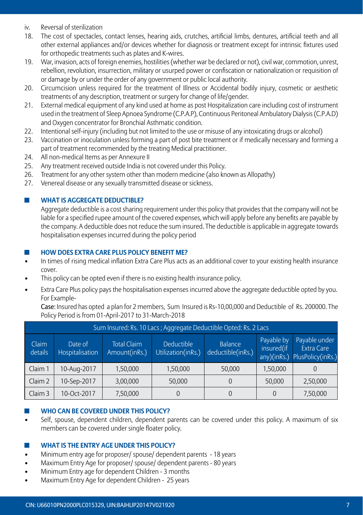- iv. Reversal of sterilization<br>18 The cost of spectacles
- 18. The cost of spectacles, contact lenses, hearing aids, crutches, artificial limbs, dentures, artificial teeth and all other external appliances and/or devices whether for diagnosis or treatment except for intrinsic fixtures used for orthopedic treatments such as plates and K-wires.
- 19. War, invasion, acts of foreign enemies, hostilities (whether war be declared or not), civil war, commotion, unrest, rebellion, revolution, insurrection, military or usurped power or confiscation or nationalization or requisition of or damage by or under the order of any government or public local authority.
- 20. Circumcision unless required for the treatment of Illness or Accidental bodily injury, cosmetic or aesthetic treatments of any description, treatment or surgery for change of life/gender.
- 21. External medical equipment of any kind used at home as post Hospitalization care including cost of instrument used in the treatment of Sleep Apnoea Syndrome (C.P.A.P), Continuous Peritoneal Ambulatory Dialysis (C.P.A.D) and Oxygen concentrator for Bronchial Asthmatic condition.
- 22. Intentional self-injury (including but not limited to the use or misuse of any intoxicating drugs or alcohol)
- 23. Vaccination or inoculation unless forming a part of post bite treatment or if medically necessary and forming a part of treatment recommended by the treating Medical practitioner.
- 24. All non-medical Items as per Annexure II
- 25. Any treatment received outside India is not covered under this Policy.
- 26. Treatment for any other system other than modern medicine (also known as Allopathy)
- 27. Venereal disease or any sexually transmitted disease or sickness.

#### ■ **WHAT IS AGGREGATE DEDUCTIBLE?**

 Aggregate deductible is a cost sharing requirement under this policy that provides that the company will not be liable for a specified rupee amount of the covered expenses, which will apply before any benefits are payable by the company. A deductible does not reduce the sum insured. The deductible is applicable in aggregate towards hospitalisation expenses incurred during the policy period

#### ◼ **How does Extra Care Plus policy benefit me?**

- In times of rising medical inflation Extra Care Plus acts as an additional cover to your existing health insurance cover.
- This policy can be opted even if there is no existing health insurance policy.
- Extra Care Plus policy pays the hospitalisation expenses incurred above the aggregate deductible opted by you. For Example-

 Case: Insured has opted a plan for 2 members, Sum Insured is Rs-10,00,000 and Deductible of Rs. 200000. The Policy Period is from 01-April-2017 to 31-March-2018

|                  | Sum Insured: Rs. 10 Lacs ; Aggregate Deductible Opted: Rs. 2 Lacs |                                         |                                                         |        |          |          |  |  |  |  |  |  |  |  |  |
|------------------|-------------------------------------------------------------------|-----------------------------------------|---------------------------------------------------------|--------|----------|----------|--|--|--|--|--|--|--|--|--|
| Claim<br>details | Date of<br>Hospitalisation                                        | Payable by<br>insured(if<br>any)(inRs.) | Payable under<br><b>Extra Care</b><br>PlusPolicy(inRs.) |        |          |          |  |  |  |  |  |  |  |  |  |
| Claim 1          | 10-Aug-2017                                                       | 1,50,000                                | 1,50,000                                                | 50.000 | 1,50,000 |          |  |  |  |  |  |  |  |  |  |
| Claim 2          | 10-Sep-2017                                                       | 3,00,000                                | 50,000                                                  |        | 50,000   | 2,50,000 |  |  |  |  |  |  |  |  |  |
| Claim 3          | 10-Oct-2017                                                       | 7,50,000                                | $\Omega$                                                |        |          | 7,50,000 |  |  |  |  |  |  |  |  |  |

#### **WHO CAN BE COVERED UNDER THIS POLICY?**

Self, spouse, dependent children, dependent parents can be covered under this policy. A maximum of six members can be covered under single floater policy.

#### ◼ **What is the entry age under this policy?**

- Minimum entry age for proposer/ spouse/ dependent parents 18 years
- Maximum Entry Age for proposer/ spouse/ dependent parents 80 years
- Minimum Entry age for dependent Children 3 months
- Maximum Entry Age for dependent Children 25 years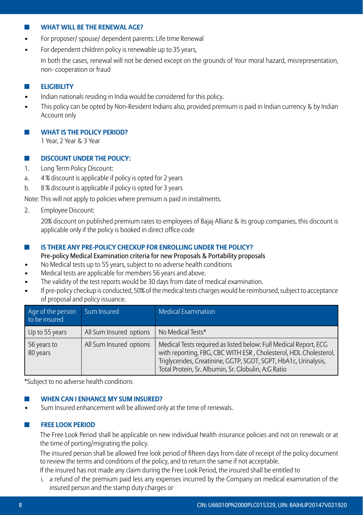#### ◼ **What will be the renewal age?**

- For proposer/ spouse/ dependent parents: Life time Renewal
- For dependent children policy is renewable up to 35 years.

 In both the cases, renewal will not be denied except on the grounds of Your moral hazard, misrepresentation, non- cooperation or fraud

# ◼ **Eligibility**

- Indian nationals residing in India would be considered for this policy.
- This policy can be opted by Non-Resident Indians also, provided premium is paid in Indian currency & by Indian Account only

**WHAT IS THE POLICY PERIOD?** 

1 Year, 2 Year & 3 Year

# ◼ **Discount under the Policy:**

- 1. Long Term Policy Discount:
- a. 4 % discount is applicable if policy is opted for 2 years
- b. 8 % discount is applicable if policy is opted for 3 years

Note: This will not apply to policies where premium is paid in instalments.

2. Employee Discount:

 20% discount on published premium rates to employees of Bajaj Allianz & its group companies, this discount is applicable only if the policy is booked in direct office code

## ◼ **Is there any pre-policy checkup for enrolling under the Policy?**

Pre-policy Medical Examination criteria for new Proposals & Portability proposals

- No Medical tests up to 55 years, subject to no adverse health conditions
- Medical tests are applicable for members 56 years and above.
- The validity of the test reports would be 30 days from date of medical examination.
- If pre-policy checkup is conducted, 50% of the medical tests charges would be reimbursed, subject to acceptance of proposal and policy issuance.

| Age of the person<br>to be insured | Sum Insured             | <b>Medical Examination</b>                                                                                                                                                                                                                                     |
|------------------------------------|-------------------------|----------------------------------------------------------------------------------------------------------------------------------------------------------------------------------------------------------------------------------------------------------------|
| Up to 55 years                     | All Sum Insured options | No Medical Tests*                                                                                                                                                                                                                                              |
| 56 years to<br>80 years            | All Sum Insured options | Medical Tests required as listed below: Full Medical Report, ECG<br>with reporting, FBG, CBC WITH ESR, Cholesterol, HDL Cholesterol,<br>Triglycerides, Creatinine, GGTP, SGOT, SGPT, HbA1c, Urinalysis,<br>Total Protein, Sr. Albumin, Sr. Globulin, A:G Ratio |

\*Subject to no adverse health conditions

## **WHEN CAN I ENHANCE MY SUM INSURED?**

Sum Insured enhancement will be allowed only at the time of renewals.

## ■ **FREE LOOK PERIOD**

The Free Look Period shall be applicable on new individual health insurance policies and not on renewals or at the time of porting/migrating the policy.

The insured person shall be allowed free look period of fifteen days from date of receipt of the policy document to review the terms and conditions of the policy, and to return the same if not acceptable.

- If the insured has not made any claim during the Free Look Period, the insured shall be entitled to
- i. a refund of the premium paid less any expenses incurred by the Company on medical examination of the insured person and the stamp duty charges or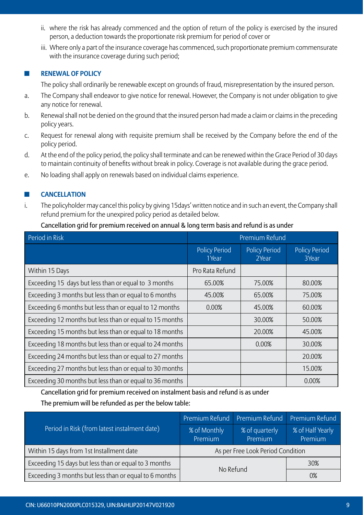- ii. where the risk has already commenced and the option of return of the policy is exercised by the insured person, a deduction towards the proportionate risk premium for period of cover or
- iii. Where only a part of the insurance coverage has commenced, such proportionate premium commensurate with the insurance coverage during such period;

# ■ **RENEWAL OF POLICY**

The policy shall ordinarily be renewable except on grounds of fraud, misrepresentation by the insured person.

- a. The Company shall endeavor to give notice for renewal. However, the Company is not under obligation to give any notice for renewal.
- b. Renewal shall not be denied on the ground that the insured person had made a claim or claims in the preceding policy years.
- c. Request for renewal along with requisite premium shall be received by the Company before the end of the policy period.
- d. At the end of the policy period, the policy shall terminate and can be renewed within the Grace Period of 30 days to maintain continuity of benefits without break in policy. Coverage is not available during the grace period.
- e. No loading shall apply on renewals based on individual claims experience.

#### $\blacksquare$  **CANCELLATION**

i. The policyholder may cancel this policy by giving 15days' written notice and in such an event, the Company shall refund premium for the unexpired policy period as detailed below.

#### Cancellation grid for premium received on annual & long term basis and refund is as under

| Period in Risk                                          |                               | Premium Refund                |                               |
|---------------------------------------------------------|-------------------------------|-------------------------------|-------------------------------|
|                                                         | <b>Policy Period</b><br>1Year | <b>Policy Period</b><br>2Year | <b>Policy Period</b><br>3Year |
| Within 15 Days                                          | Pro Rata Refund               |                               |                               |
| Exceeding 15 days but less than or equal to 3 months    | 65.00%                        | 75.00%                        | 80.00%                        |
| Exceeding 3 months but less than or equal to 6 months   | 45.00%                        | 65.00%                        | 75.00%                        |
| Exceeding 6 months but less than or equal to 12 months  | 0.00%                         | 45.00%                        | 60.00%                        |
| Exceeding 12 months but less than or equal to 15 months |                               | 30.00%                        | 50.00%                        |
| Exceeding 15 months but less than or equal to 18 months |                               | 20.00%                        | 45.00%                        |
| Exceeding 18 months but less than or equal to 24 months |                               | 0.00%                         | 30.00%                        |
| Exceeding 24 months but less than or equal to 27 months |                               |                               | 20.00%                        |
| Exceeding 27 months but less than or equal to 30 months |                               |                               | 15.00%                        |
| Exceeding 30 months but less than or equal to 36 months |                               |                               | 0.00%                         |

Cancellation grid for premium received on instalment basis and refund is as under

## The premium will be refunded as per the below table:

|                                                       |                         | Premium Refund Premium Refund Premium Refund |                             |  |
|-------------------------------------------------------|-------------------------|----------------------------------------------|-----------------------------|--|
| Period in Risk (from latest instalment date)          | % of Monthly<br>Premium | % of quarterly<br>Premium                    | % of Half Yearly<br>Premium |  |
| Within 15 days from 1st Installment date              |                         | As per Free Look Period Condition            |                             |  |
| Exceeding 15 days but less than or equal to 3 months  |                         | No Refund                                    | 30%                         |  |
| Exceeding 3 months but less than or equal to 6 months |                         |                                              | 0%                          |  |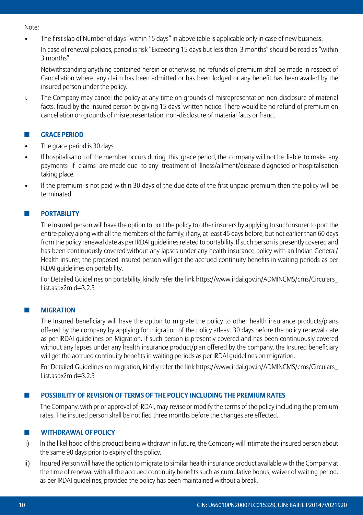Note:

• The first slab of Number of days "within 15 days" in above table is applicable only in case of new business.

In case of renewal policies, period is risk "Exceeding 15 days but less than 3 months" should be read as "within 3 months".

Notwithstanding anything contained herein or otherwise, no refunds of premium shall be made in respect of Cancellation where, any claim has been admitted or has been lodged or any benefit has been availed by the insured person under the policy.

i. The Company may cancel the policy at any time on grounds of misrepresentation non-disclosure of material facts, fraud by the insured person by giving 15 days' written notice. There would be no refund of premium on cancellation on grounds of misrepresentation, non-disclosure of material facts or fraud.

## ■ **GRACE PERIOD**

- The grace period is 30 days
- If hospitalisation of the member occurs during this grace period, the company will not be liable to make any payments if claims are made due to any treatment of illness/ailment/disease diagnosed or hospitalisation taking place.
- If the premium is not paid within 30 days of the due date of the first unpaid premium then the policy will be terminated.

#### **PORTABILITY**

The insured person will have the option to port the policy to other insurers by applying to such insurer to port the entire policy along with all the members of the family, if any, at least 45 days before, but not earlier than 60 days from the policy renewal date as per IRDAI guidelines related to portability. If such person is presently covered and has been continuously covered without any lapses under any health insurance policy with an Indian General/ Health insurer, the proposed insured person will get the accrued continuity benefits in waiting periods as per IRDAI guidelines on portability.

For Detailed Guidelines on portability, kindly refer the link https://www.irdai.gov.in/ADMINCMS/cms/Circulars\_ List.aspx?mid=3.2.3

## **MIGRATION**

The Insured beneficiary will have the option to migrate the policy to other health insurance products/plans offered by the company by applying for migration of the policy atleast 30 days before the policy renewal date as per IRDAI guidelines on Migration. If such person is presently covered and has been continuously covered without any lapses under any health insurance product/plan offered by the company, the Insured beneficiary will get the accrued continuity benefits in waiting periods as per IRDAI guidelines on migration.

For Detailed Guidelines on migration, kindly refer the link https://www.irdai.gov.in/ADMINCMS/cms/Circulars\_ List.aspx?mid=3.2.3

#### ◼ **Possibility of Revision of Terms of the Policy Including the Premium Rates**

The Company, with prior approval of lRDAl, may revise or modify the terms of the policy including the premium rates. The insured person shall be notified three months before the changes are effected.

#### **ELECTE WITHDRAWAL OF POLICY**

- i) ln the likelihood of this product being withdrawn in future, the Company will intimate the insured person about the same 90 days prior to expiry of the policy.
- ii) lnsured Person will have the option to migrate to similar health insurance product available with the Company at the time of renewal with all the accrued continuity benefits such as cumulative bonus, waiver of waiting period. as per IRDAI guidelines, provided the policy has been maintained without a break.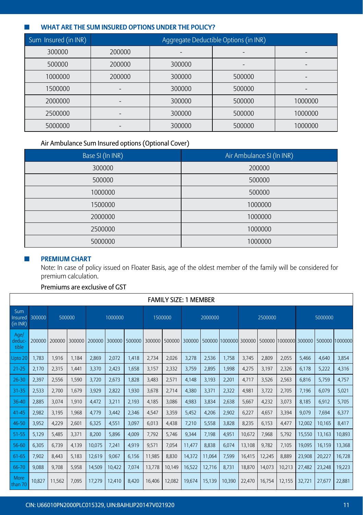## ◼ **What are the sum insured options under the policy?**

| Sum Insured (in INR) | Aggregate Deductible Options (in INR) |        |        |         |  |  |  |  |  |  |  |
|----------------------|---------------------------------------|--------|--------|---------|--|--|--|--|--|--|--|
| 300000               | 200000                                |        |        |         |  |  |  |  |  |  |  |
| 500000               | 200000                                | 300000 |        |         |  |  |  |  |  |  |  |
| 1000000              | 200000                                | 300000 | 500000 |         |  |  |  |  |  |  |  |
| 1500000              |                                       | 300000 | 500000 |         |  |  |  |  |  |  |  |
| 2000000              |                                       | 300000 | 500000 | 1000000 |  |  |  |  |  |  |  |
| 2500000              |                                       | 300000 | 500000 | 1000000 |  |  |  |  |  |  |  |
| 5000000              |                                       | 300000 | 500000 | 1000000 |  |  |  |  |  |  |  |

# Air Ambulance Sum Insured options (Optional Cover)

| Base SI (In INR) | Air Ambulance SI (In INR) |
|------------------|---------------------------|
| 300000           | 200000                    |
| 500000           | 500000                    |
| 1000000          | 500000                    |
| 1500000          | 1000000                   |
| 2000000          | 1000000                   |
| 2500000          | 1000000                   |
| 5000000          | 1000000                   |

## $\blacksquare$  **PREMIUM CHART**

 Note: In case of policy issued on Floater Basis, age of the oldest member of the family will be considered for premium calculation.

# Premiums are exclusive of GST

|                            | <b>FAMILY SIZE: 1 MEMBER</b> |        |        |        |         |        |         |        |        |         |        |        |         |                                                                              |         |        |                |
|----------------------------|------------------------------|--------|--------|--------|---------|--------|---------|--------|--------|---------|--------|--------|---------|------------------------------------------------------------------------------|---------|--------|----------------|
| Sum<br>Insured<br>(in INR) | 300000                       | 500000 |        |        | 1000000 |        | 1500000 |        |        | 2000000 |        |        | 2500000 |                                                                              | 5000000 |        |                |
| Age/<br>deduc-<br>tible    | 200000                       | 200000 | 300000 | 200000 | 300000  | 500000 |         |        |        |         |        |        |         | 300000   500000   300000   500000  1000000  300000   500000  1000000  300000 |         |        | 500000 1000000 |
| Upto 20                    | 1.783                        | 1.916  | 1.184  | 2,869  | 2,072   | 1.418  | 2,734   | 2,026  | 3,278  | 2,536   | 1.758  | 3.745  | 2,809   | 2,055                                                                        | 5.466   | 4.640  | 3,854          |
| $21 - 25$                  | 2,170                        | 2,315  | 1,441  | 3,370  | 2,423   | 1,658  | 3,157   | 2,332  | 3,759  | 2,895   | 1,998  | 4,275  | 3,197   | 2,326                                                                        | 6,178   | 5,222  | 4,316          |
| $26 - 30$                  | 2,397                        | 2,556  | 1,590  | 3,720  | 2,673   | 1,828  | 3,483   | 2,571  | 4,148  | 3,193   | 2,201  | 4,717  | 3,526   | 2,563                                                                        | 6,816   | 5,759  | 4,757          |
| 31-35                      | 2,533                        | 2.700  | 1.679  | 3,929  | 2,822   | 1,930  | 3,678   | 2.714  | 4.380  | 3,371   | 2,322  | 4,981  | 3,722   | 2.705                                                                        | 7,196   | 6.079  | 5,021          |
| 36-40                      | 2.885                        | 3,074  | 1,910  | 4,472  | 3,211   | 2,193  | 4.185   | 3,086  | 4,983  | 3,834   | 2,638  | 5,667  | 4,232   | 3,073                                                                        | 8.185   | 6,912  | 5.705          |
| $41 - 45$                  | 2,982                        | 3,195  | 1,968  | 4,779  | 3,442   | 2,346  | 4,547   | 3,359  | 5,452  | 4,206   | 2,902  | 6,227  | 4,657   | 3,394                                                                        | 9,079   | 7,694  | 6,377          |
| 46-50                      | 3,952                        | 4,229  | 2,601  | 6,325  | 4,551   | 3,097  | 6,013   | 4,438  | 7,210  | 5,558   | 3,828  | 8,235  | 6,153   | 4,477                                                                        | 12,002  | 10,165 | 8,417          |
| 51-55                      | 5,129                        | 5,485  | 3,371  | 8,200  | 5,896   | 4,009  | 7,792   | 5,746  | 9,344  | 7,198   | 4,951  | 10,672 | 7,968   | 5,792                                                                        | 15,550  | 13,163 | 10,893         |
| 56-60                      | 6.305                        | 6.739  | 4.139  | 10.075 | 7.241   | 4,919  | 9,571   | 7.054  | 11,477 | 8.838   | 6,074  | 13,108 | 9.782   | 7.105                                                                        | 19,095  | 16,159 | 13,368         |
| 61-65                      | 7.902                        | 8.443  | 5.183  | 12.619 | 9,067   | 6.156  | 11,985  | 8.830  | 14,372 | 11.064  | 7,599  | 16,415 | 12,245  | 8.889                                                                        | 23,908  | 20,227 | 16,728         |
| 66-70                      | 9.088                        | 9.708  | 5,958  | 14,509 | 10,422  | 7,074  | 13,778  | 10.149 | 16,522 | 12,716  | 8,731  | 18.870 | 14,073  | 10,213                                                                       | 27,482  | 23,248 | 19,223         |
| More<br>than 70            | 10.827                       | 11,562 | 7,095  | 17,279 | 12,410  | 8,420  | 16,406  | 12.082 | 19,674 | 15,139  | 10,390 | 22,470 | 16.754  | 12.155                                                                       | 32.721  | 27.677 | 22,881         |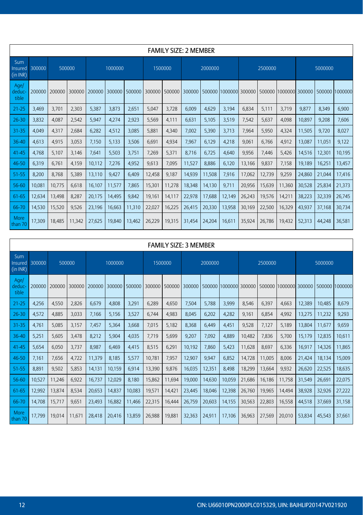|                            | <b>FAMILY SIZE: 2 MEMBER</b> |        |        |        |         |        |        |               |        |         |                       |        |         |                       |         |        |                |
|----------------------------|------------------------------|--------|--------|--------|---------|--------|--------|---------------|--------|---------|-----------------------|--------|---------|-----------------------|---------|--------|----------------|
| Sum<br>Insured<br>(in INR) | 300000                       | 500000 |        |        | 1000000 |        |        | 1500000       |        | 2000000 |                       |        | 2500000 |                       | 5000000 |        |                |
| Age/<br>deduc-<br>tible    | 200000                       | 200000 | 300000 | 200000 | 300000  | 500000 | 300000 | 500000 300000 |        |         | 500000 1000000 300000 |        |         | 500000 1000000 300000 |         |        | 500000 1000000 |
| $21 - 25$                  | 3,469                        | 3.701  | 2,303  | 5,387  | 3,873   | 2,651  | 5,047  | 3,728         | 6,009  | 4,629   | 3,194                 | 6,834  | 5,111   | 3.719                 | 9,877   | 8,349  | 6,900          |
| $26 - 30$                  | 3,832                        | 4.087  | 2,542  | 5,947  | 4,274   | 2,923  | 5,569  | 4.111         | 6.631  | 5,105   | 3,519                 | 7,542  | 5,637   | 4.098                 | 10.897  | 9,208  | 7.606          |
| 31-35                      | 4.049                        | 4,317  | 2.684  | 6.282  | 4,512   | 3.085  | 5.881  | 4,340         | 7.002  | 5.390   | 3.713                 | 7.964  | 5.950   | 4,324                 | 11,505  | 9.720  | 8.027          |
| 36-40                      | 4.613                        | 4,915  | 3,053  | 7.150  | 5,133   | 3,506  | 6.691  | 4,934         | 7,967  | 6.129   | 4.218                 | 9.061  | 6.766   | 4,912                 | 13.087  | 11,051 | 9,122          |
| $41 - 45$                  | 4.768                        | 5.107  | 3.146  | 7.641  | 5,503   | 3,751  | 7,269  | 5,371         | 8.716  | 6.725   | 4.640                 | 9,956  | 7.446   | 5,426                 | 14,516  | 12,301 | 10,195         |
| 46-50                      | 6.319                        | 6.761  | 4.159  | 10.112 | 7,276   | 4,952  | 9,613  | 7,095         | 11,527 | 8.886   | 6.120                 | 13.166 | 9.837   | 7.158                 | 19.189  | 16,251 | 13,457         |
| $51 - 55$                  | 8,200                        | 8.768  | 5,389  | 13,110 | 9,427   | 6,409  | 12,458 | 9,187         | 14,939 | 11,508  | 7,916                 | 17,062 | 12,739  | 9,259                 | 24,860  | 21,044 | 17,416         |
| 56-60                      | 10,081                       | 10,775 | 6,618  | 16,107 | 11,577  | 7,865  | 15,301 | 11,278        | 18,348 | 14,130  | 9,711                 | 20,956 | 15,639  | 11,360                | 30,528  | 25,834 | 21,373         |
| 61-65                      | 12,634                       | 13.498 | 8,287  | 20,175 | 14,495  | 9,842  | 19,161 | 14,117        | 22,978 | 17.688  | 12,149                | 26,243 | 19,576  | 14,211                | 38,223  | 32,339 | 26,745         |
| 66-70                      | 14,530                       | 15,520 | 9,526  | 23,196 | 16,663  | 11,310 | 22,027 | 16,225        | 26,415 | 20,330  | 13,958                | 30,169 | 22,500  | 16,329                | 43,937  | 37,168 | 30,734         |
| More<br>than 70            | 17,309                       | 18.485 | 11.342 | 27.625 | 19.840  | 13,462 | 26.229 | 19.315        | 31.454 | 24,204  | 16.611                | 35,924 | 26.786  | 19.432                | 52,313  | 44.248 | 36,581         |

|                            | <b>FAMILY SIZE: 3 MEMBER</b> |        |        |        |         |        |         |        |        |         |                       |        |         |                       |         |        |                |
|----------------------------|------------------------------|--------|--------|--------|---------|--------|---------|--------|--------|---------|-----------------------|--------|---------|-----------------------|---------|--------|----------------|
| Sum<br>Insured<br>(in INR) | 300000                       | 500000 |        |        | 1000000 |        | 1500000 |        |        | 2000000 |                       |        | 2500000 |                       | 5000000 |        |                |
| Age/<br>deduc-<br>tible    | 200000                       | 200000 | 300000 | 200000 | 300000  | 500000 | 300000  | 500000 | 300000 |         | 500000 1000000 300000 |        |         | 500000 1000000 300000 |         |        | 500000 1000000 |
| $21 - 25$                  | 4.256                        | 4.550  | 2,826  | 6,679  | 4,808   | 3,291  | 6,289   | 4,650  | 7,504  | 5,788   | 3,999                 | 8.546  | 6,397   | 4.663                 | 12,389  | 10,485 | 8,679          |
| $26 - 30$                  | 4,572                        | 4,885  | 3,033  | 7,166  | 5,156   | 3,527  | 6,744   | 4,983  | 8,045  | 6,202   | 4,282                 | 9,161  | 6,854   | 4,992                 | 13,275  | 11,232 | 9,293          |
| 31-35                      | 4,761                        | 5,085  | 3,157  | 7,457  | 5,364   | 3,668  | 7,015   | 5,182  | 8,368  | 6,449   | 4,451                 | 9,528  | 7,127   | 5,189                 | 13,804  | 11,677 | 9,659          |
| $36 - 40$                  | 5,251                        | 5,605  | 3,478  | 8,212  | 5,904   | 4,035  | 7,719   | 5,699  | 9,207  | 7,092   | 4,889                 | 10,482 | 7,836   | 5,700                 | 15,179  | 12,835 | 10,611         |
| 41-45                      | 5,654                        | 6,050  | 3,737  | 8,987  | 6.469   | 4,415  | 8,515   | 6,291  | 10,192 | 7.860   | 5,423                 | 11,628 | 8,697   | 6,336                 | 16,917  | 14,326 | 11,865         |
| 46-50                      | 7.161                        | 7,656  | 4,722  | 11,379 | 8,185   | 5,577  | 10,781  | 7,957  | 12,907 | 9,947   | 6,852                 | 14,728 | 11,005  | 8,006                 | 21.424  | 18,134 | 15,009         |
| $51 - 55$                  | 8,891                        | 9,502  | 5,853  | 14,131 | 10,159  | 6,914  | 13,390  | 9,876  | 16,035 | 12,351  | 8,498                 | 18,299 | 13,664  | 9,932                 | 26,620  | 22,525 | 18,635         |
| 56-60                      | 10,527                       | 11,246 | 6,922  | 16,737 | 12,029  | 8,180  | 15,862  | 11,694 | 19,000 | 14,630  | 10,059                | 21,686 | 16,186  | 11,758                | 31,549  | 26,691 | 22,075         |
| 61-65                      | 12,992                       | 13,874 | 8,534  | 20,653 | 14,837  | 10,083 | 19,571  | 14,421 | 23,445 | 18,046  | 12,398                | 26,760 | 19,965  | 14,494                | 38,928  | 32,926 | 27,222         |
| 66-70                      | 14,708                       | 15,717 | 9,651  | 23,493 | 16,882  | 11,466 | 22,315  | 16,444 | 26,759 | 20,603  | 14,155                | 30,563 | 22,803  | 16,558                | 44,518  | 37,669 | 31,158         |
| More<br>than 70            | 17.799                       | 19.014 | 11.671 | 28,418 | 20.416  | 13.859 | 26.988  | 19.881 | 32.363 | 24.911  | 17.106                | 36.963 | 27.569  | 20.010                | 53.834  | 45.543 | 37.661         |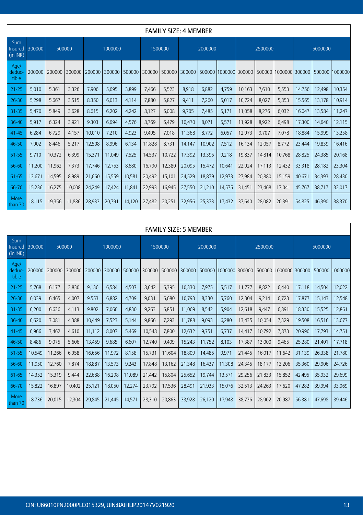|                            |        |        |        |        |         |               |        | <b>FAMILY SIZE: 4 MEMBER</b> |        |         |                       |        |         |                |         |        |                |
|----------------------------|--------|--------|--------|--------|---------|---------------|--------|------------------------------|--------|---------|-----------------------|--------|---------|----------------|---------|--------|----------------|
| Sum<br>Insured<br>(in INR) | 300000 | 500000 |        |        | 1000000 |               |        | 1500000                      |        | 2000000 |                       |        | 2500000 |                | 5000000 |        |                |
| Age/<br>deduc-<br>tible    | 200000 | 200000 | 300000 | 200000 |         | 300000 500000 | 300000 | 500000                       | 300000 |         | 500000 1000000 300000 |        | 500000  | 1000000 300000 |         |        | 500000 1000000 |
| $21 - 25$                  | 5.010  | 5,361  | 3,326  | 7,906  | 5,695   | 3,899         | 7.466  | 5,523                        | 8.918  | 6.882   | 4.759                 | 10.163 | 7.610   | 5,553          | 14.756  | 12,498 | 10,354         |
| $26 - 30$                  | 5.298  | 5,667  | 3,515  | 8.350  | 6.013   | 4,114         | 7,880  | 5,827                        | 9,411  | 7.260   | 5.017                 | 10,724 | 8,027   | 5,853          | 15,565  | 13,178 | 10,914         |
| $31 - 35$                  | 5.470  | 5,849  | 3,628  | 8,615  | 6,202   | 4,242         | 8.127  | 6,008                        | 9.705  | 7,485   | 5,171                 | 11,058 | 8,276   | 6,032          | 16.047  | 13,584 | 11,247         |
| 36-40                      | 5,917  | 6,324  | 3,921  | 9,303  | 6,694   | 4,576         | 8.769  | 6.479                        | 10.470 | 8,071   | 5,571                 | 11,928 | 8,922   | 6.498          | 17,300  | 14,640 | 12,115         |
| $41 - 45$                  | 6.284  | 6.729  | 4,157  | 10,010 | 7,210   | 4,923         | 9,495  | 7,018                        | 11,368 | 8.772   | 6,057                 | 12,973 | 9.707   | 7,078          | 18,884  | 15,999 | 13,258         |
| 46-50                      | 7,902  | 8,446  | 5,217  | 12,508 | 8,996   | 6,134         | 11,828 | 8,731                        | 14,147 | 10,902  | 7,512                 | 16,134 | 12,057  | 8,772          | 23,444  | 19,839 | 16,416         |
| 51-55                      | 9,710  | 10,372 | 6,399  | 15,371 | 11,049  | 7,525         | 14,537 | 10,722                       | 17,392 | 13,395  | 9,218                 | 19,837 | 14,814  | 10,768         | 28,825  | 24,385 | 20,168         |
| 56-60                      | 11,200 | 11,962 | 7,373  | 17,746 | 12,753  | 8,680         | 16,790 | 12,380                       | 20,095 | 15,472  | 10,641                | 22,924 | 17,113  | 12,432         | 33,318  | 28,182 | 23,304         |
| 61-65                      | 13,671 | 14,595 | 8,989  | 21,660 | 15,559  | 10,581        | 20,492 | 15,101                       | 24,529 | 18,879  | 12,973                | 27,984 | 20,880  | 15,159         | 40,671  | 34,393 | 28,430         |
| 66-70                      | 15,236 | 16,275 | 10,008 | 24,249 | 17,424  | 11,841        | 22,993 | 16,945                       | 27,550 | 21,210  | 14,575                | 31,451 | 23,468  | 17,041         | 45,767  | 38,717 | 32,017         |
| More<br>than 70            | 18,115 | 19,356 | 11.886 | 28,933 | 20.791  | 14,120        | 27,482 | 20,251                       | 32,956 | 25,373  | 17,432                | 37,640 | 28,082  | 20,391         | 54,825  | 46.390 | 38,370         |

|                            | <b>FAMILY SIZE: 5 MEMBER</b> |        |        |        |         |        |        |         |        |         |                                     |        |         |                       |         |        |                |
|----------------------------|------------------------------|--------|--------|--------|---------|--------|--------|---------|--------|---------|-------------------------------------|--------|---------|-----------------------|---------|--------|----------------|
| Sum<br>Insured<br>(in INR) | 300000                       | 500000 |        |        | 1000000 |        |        | 1500000 |        | 2000000 |                                     |        | 2500000 |                       | 5000000 |        |                |
| Age/<br>deduc-<br>tible    | 200000                       | 200000 | 300000 | 200000 | 300000  | 500000 | 300000 |         |        |         | 500000 300000 500000 1000000 300000 |        |         | 500000 1000000 300000 |         |        | 500000 1000000 |
| $21 - 25$                  | 5,768                        | 6,177  | 3,830  | 9,136  | 6,584   | 4,507  | 8,642  | 6,395   | 10,330 | 7,975   | 5,517                               | 11,777 | 8,822   | 6,440                 | 17,118  | 14,504 | 12,022         |
| $26 - 30$                  | 6.039                        | 6.465  | 4.007  | 9,553  | 6.882   | 4.709  | 9,031  | 6.680   | 10,793 | 8,330   | 5.760                               | 12,304 | 9,214   | 6.723                 | 17,877  | 15.143 | 12,548         |
| $31 - 35$                  | 6.200                        | 6.636  | 4.113  | 9,802  | 7,060   | 4,830  | 9,263  | 6.851   | 11.069 | 8,542   | 5,904                               | 12,618 | 9,447   | 6.891                 | 18,330  | 15,525 | 12,861         |
| 36-40                      | 6,620                        | 7,081  | 4,388  | 10,449 | 7,523   | 5,144  | 9,866  | 7,293   | 11,788 | 9,093   | 6,280                               | 13,435 | 10,054  | 7,329                 | 19,508  | 16,516 | 13,677         |
| 41-45                      | 6,966                        | 7,462  | 4,610  | 11,112 | 8,007   | 5,469  | 10,548 | 7,800   | 12,632 | 9,751   | 6,737                               | 14,417 | 10,792  | 7,873                 | 20,996  | 17,793 | 14,751         |
| 46-50                      | 8,486                        | 9,075  | 5,606  | 13,459 | 9,685   | 6.607  | 12,740 | 9.409   | 15,243 | 11,752  | 8.103                               | 17,387 | 13,000  | 9,465                 | 25,280  | 21,401 | 17,718         |
| 51-55                      | 10,549                       | 11,266 | 6,958  | 16,656 | 11,972  | 8,158  | 15,731 | 11,604  | 18,809 | 14,485  | 9,971                               | 21,445 | 16,017  | 11,642                | 31,139  | 26,338 | 21,780         |
| 56-60                      | 11,950                       | 12,760 | 7,874  | 18,887 | 13,573  | 9,243  | 17,848 | 13,162  | 21,348 | 16,437  | 11,308                              | 24,345 | 18,177  | 13,206                | 35,360  | 29,906 | 24,726         |
| 61-65                      | 14.352                       | 15.319 | 9.444  | 22,688 | 16,298  | 11,089 | 21,442 | 15,804  | 25,652 | 19,744  | 13,571                              | 29,256 | 21,833  | 15,852                | 42.495  | 35,932 | 29,699         |
| 66-70                      | 15,822                       | 16,897 | 10,402 | 25,121 | 18.050  | 12,274 | 23,792 | 17,536  | 28,491 | 21,933  | 15,076                              | 32,513 | 24,263  | 17,620                | 47,282  | 39,994 | 33,069         |
| More<br>than 70            | 18.736                       | 20,015 | 12.304 | 29,845 | 21,445  | 14,571 | 28,310 | 20,863  | 33,928 | 26,120  | 17,948                              | 38,736 | 28,902  | 20,987                | 56,381  | 47,698 | 39,446         |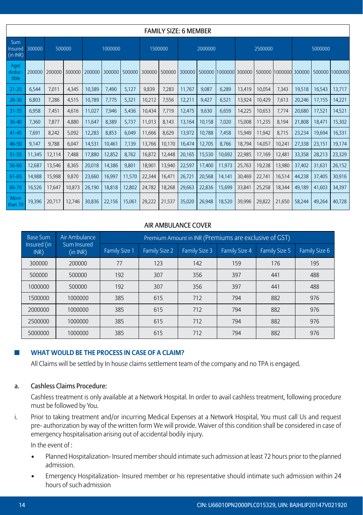|                            |        |        |        |         |        |         |        | <b>FAMILY SIZE: 6 MEMBER</b> |        |        |                                     |        |        |                       |        |        |                |
|----------------------------|--------|--------|--------|---------|--------|---------|--------|------------------------------|--------|--------|-------------------------------------|--------|--------|-----------------------|--------|--------|----------------|
| Sum<br>Insured<br>(in INR) | 300000 | 500000 |        | 1000000 |        | 1500000 |        | 2000000                      |        |        | 2500000                             |        |        | 5000000               |        |        |                |
| Age/<br>deduc-<br>tible    | 200000 | 200000 | 300000 | 200000  | 300000 | 500000  | 300000 |                              |        |        | 500000 300000 500000 1000000 300000 |        |        | 500000 1000000 300000 |        |        | 500000 1000000 |
| 21-25                      | 6,544  | 7,011  | 4,345  | 10,389  | 7,490  | 5,127   | 9,839  | 7,283                        | 11,767 | 9,087  | 6,289                               | 13,419 | 10,054 | 7,343                 | 19,518 | 16,543 | 13,717         |
| $26 - 30$                  | 6,803  | 7,286  | 4,515  | 10,789  | 7,775  | 5,321   | 10,212 | 7,556                        | 12,211 | 9,427  | 6,521                               | 13,924 | 10,429 | 7,613                 | 20,246 | 17,155 | 14,221         |
| $31 - 35$                  | 6.958  | 7,451  | 4,616  | 11,027  | 7,946  | 5,436   | 10,434 | 7,719                        | 12,475 | 9,630  | 6,659                               | 14,225 | 10,653 | 7,774                 | 20,680 | 17,521 | 14,521         |
| 36-40                      | 7.360  | 7,877  | 4.880  | 11,647  | 8.389  | 5,737   | 11,013 | 8,143                        | 13,164 | 10,158 | 7,020                               | 15,008 | 11,235 | 8.194                 | 21,808 | 18,471 | 15,302         |
| 41-45                      | 7,691  | 8,242  | 5,092  | 12,283  | 8,853  | 6,049   | 11,666 | 8,629                        | 13,972 | 10,788 | 7,458                               | 15,949 | 11,942 | 8,715                 | 23,234 | 19,694 | 16,331         |
| 46-50                      | 9,147  | 9,788  | 6,047  | 14,531  | 10,461 | 7,139   | 13,766 | 10.170                       | 16.474 | 12,705 | 8,766                               | 18,794 | 14,057 | 10,241                | 27,338 | 23,151 | 19,174         |
| 51-55                      | 11,345 | 12,114 | 7,488  | 17,880  | 12,852 | 8,762   | 16,872 | 12,448                       | 20,165 | 15,530 | 10,692                              | 22,985 | 17,169 | 12,481                | 33,358 | 28,213 | 23,329         |
| 56-60                      | 12,687 | 13,546 | 8,365  | 20,018  | 14,386 | 9,801   | 18,901 | 13,940                       | 22,597 | 17,400 | 11,973                              | 25,763 | 19,238 | 13,980                | 37,402 | 31,631 | 26,152         |
| 61-65                      | 14,988 | 15,998 | 9,870  | 23,660  | 16,997 | 11,570  | 22,344 | 16,471                       | 26,721 | 20,568 | 14,141                              | 30,469 | 22,741 | 16,514                | 44,238 | 37,405 | 30,916         |
| 66-70                      | 16,526 | 17.647 | 10,873 | 26,190  | 18.818 | 12,802  | 24,782 | 18,268                       | 29.663 | 22,836 | 15.699                              | 33,841 | 25,258 | 18,344                | 49.189 | 41,603 | 34,397         |
| More<br>than 70            | 19,396 | 20,717 | 12.746 | 30,836  | 22,156 | 15,061  | 29,222 | 21,537                       | 35,020 | 26,948 | 18,520                              | 39,996 | 29,822 | 21.650                | 58,244 | 49,264 | 40,728         |

## AIR AMBULANCE COVER

| <b>Base Sum</b>     | Air Ambulance           |                      | Premium Amount in INR (Premiums are exclusive of GST) |                      |                      |               |               |  |  |  |
|---------------------|-------------------------|----------------------|-------------------------------------------------------|----------------------|----------------------|---------------|---------------|--|--|--|
| Insured (in<br>INR) | Sum Insured<br>(in INR) | <b>Family Size 1</b> | <b>Family Size 2</b>                                  | <b>Family Size 3</b> | <b>Family Size 4</b> | Family Size 5 | Family Size 6 |  |  |  |
| 300000              | 200000                  | 77                   | 123                                                   | 142                  | 159                  | 176           | 195           |  |  |  |
| 500000              | 500000                  | 192                  | 307                                                   | 356                  | 397                  | 441           | 488           |  |  |  |
| 1000000             | 500000                  | 192                  | 307                                                   | 356                  | 397                  | 441           | 488           |  |  |  |
| 1500000             | 1000000                 | 385                  | 615                                                   | 712                  | 794                  | 882           | 976           |  |  |  |
| 2000000             | 1000000                 | 385                  | 615                                                   | 712                  | 794                  | 882           | 976           |  |  |  |
| 2500000             | 1000000                 | 385                  | 615                                                   | 712                  | 794                  | 882           | 976           |  |  |  |
| 5000000             | 1000000                 | 385                  | 615                                                   | 712                  | 794                  | 882           | 976           |  |  |  |

## ◼ **What would be the process in case of a claim?**

All Claims will be settled by In house claims settlement team of the company and no TPA is engaged.

## a. Cashless Claims Procedure:

 Cashless treatment is only available at a Network Hospital. In order to avail cashless treatment, following procedure must be followed by You.

i. Prior to taking treatment and/or incurring Medical Expenses at a Network Hospital, You must call Us and request pre- authorization by way of the written form We will provide. Waiver of this condition shall be considered in case of emergency hospitalisation arising out of accidental bodily injury.

In the event of :

- Planned Hospitalization- Insured member should intimate such admission at least 72 hours prior to the planned admission.
- Emergency Hospitalization- Insured member or his representative should intimate such admission within 24 hours of such admission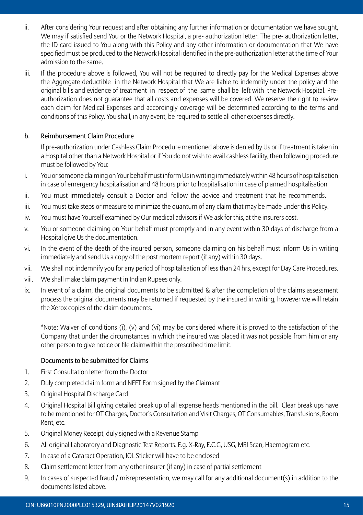- ii. After considering Your request and after obtaining any further information or documentation we have sought, We may if satisfied send You or the Network Hospital, a pre- authorization letter. The pre- authorization letter, the ID card issued to You along with this Policy and any other information or documentation that We have specified must be produced to the Network Hospital identified in the pre-authorization letter at the time of Your admission to the same.
- iii. If the procedure above is followed, You will not be required to directly pay for the Medical Expenses above the Aggregate deductible in the Network Hospital that We are liable to indemnify under the policy and the original bills and evidence of treatment in respect of the same shall be left with the Network Hospital. Preauthorization does not guarantee that all costs and expenses will be covered. We reserve the right to review each claim for Medical Expenses and accordingly coverage will be determined according to the terms and conditions of this Policy. You shall, in any event, be required to settle all other expenses directly.

## b. Reimbursement Claim Procedure

 If pre-authorization under Cashless Claim Procedure mentioned above is denied by Us or if treatment is taken in a Hospital other than a Network Hospital or if You do not wish to avail cashless facility, then following procedure must be followed by You:

- i. You or someone claiming on Your behalf must inform Us in writing immediately within 48 hours of hospitalisation in case of emergency hospitalisation and 48 hours prior to hospitalisation in case of planned hospitalisation
- ii. You must immediately consult a Doctor and follow the advice and treatment that he recommends.
- iii. You must take steps or measure to minimize the quantum of any claim that may be made under this Policy.
- iv. You must have Yourself examined by Our medical advisors if We ask for this, at the insurers cost.
- v. You or someone claiming on Your behalf must promptly and in any event within 30 days of discharge from a Hospital give Us the documentation.
- vi. In the event of the death of the insured person, someone claiming on his behalf must inform Us in writing immediately and send Us a copy of the post mortem report (if any) within 30 days.
- vii. We shall not indemnify you for any period of hospitalisation of less than 24 hrs, except for Day Care Procedures.
- viii. We shall make claim payment in Indian Rupees only.
- ix. In event of a claim, the original documents to be submitted & after the completion of the claims assessment process the original documents may be returned if requested by the insured in writing, however we will retain the Xerox copies of the claim documents.

 \*Note: Waiver of conditions (i), (v) and (vi) may be considered where it is proved to the satisfaction of the Company that under the circumstances in which the insured was placed it was not possible from him or any other person to give notice or file claimwithin the prescribed time limit.

#### Documents to be submitted for Claims

- 1. First Consultation letter from the Doctor
- 2. Duly completed claim form and NEFT Form signed by the Claimant
- 3. Original Hospital Discharge Card
- 4. Original Hospital Bill giving detailed break up of all expense heads mentioned in the bill. Clear break ups have to be mentioned for OT Charges, Doctor's Consultation and Visit Charges, OT Consumables, Transfusions, Room Rent, etc.
- 5. Original Money Receipt, duly signed with a Revenue Stamp
- 6. All original Laboratory and Diagnostic Test Reports. E.g. X-Ray, E.C.G, USG, MRI Scan, Haemogram etc.
- 7. In case of a Cataract Operation, IOL Sticker will have to be enclosed
- 8. Claim settlement letter from any other insurer (if any) in case of partial settlement
- 9. In cases of suspected fraud / misrepresentation, we may call for any additional document(s) in addition to the documents listed above.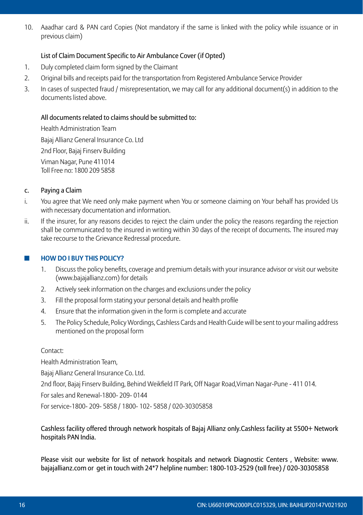10. Aaadhar card & PAN card Copies (Not mandatory if the same is linked with the policy while issuance or in previous claim)

## List of Claim Document Specific to Air Ambulance Cover (if Opted)

- 1. Duly completed claim form signed by the Claimant
- 2. Original bills and receipts paid for the transportation from Registered Ambulance Service Provider
- 3. In cases of suspected fraud / misrepresentation, we may call for any additional document(s) in addition to the documents listed above.

## All documents related to claims should be submitted to:

Health Administration Team Bajaj Allianz General Insurance Co. Ltd 2nd Floor, Bajaj Finserv Building Viman Nagar, Pune 411014 Toll Free no: 1800 209 5858

#### c. Paying a Claim

- i. You agree that We need only make payment when You or someone claiming on Your behalf has provided Us with necessary documentation and information.
- ii. If the insurer, for any reasons decides to reject the claim under the policy the reasons regarding the rejection shall be communicated to the insured in writing within 30 days of the receipt of documents. The insured may take recourse to the Grievance Redressal procedure.

## ◼ **How do I buy this policy?**

- 1. Discuss the policy benefits, coverage and premium details with your insurance advisor or visit our website (www.bajajallianz.com) for details
- 2. Actively seek information on the charges and exclusions under the policy
- 3. Fill the proposal form stating your personal details and health profile
- 4. Ensure that the information given in the form is complete and accurate
- 5. The Policy Schedule, Policy Wordings, Cashless Cards and Health Guide will be sent to your mailing address mentioned on the proposal form

#### Contact:

Health Administration Team,

Bajaj Allianz General Insurance Co. Ltd.

2nd floor, Bajaj Finserv Building, Behind Weikfield IT Park, Off Nagar Road,Viman Nagar-Pune - 411 014.

For sales and Renewal-1800- 209- 0144

For service-1800- 209- 5858 / 1800- 102- 5858 / 020-30305858

 Cashless facility offered through network hospitals of Bajaj Allianz only.Cashless facility at 5500+ Network hospitals PAN India.

 Please visit our website for list of network hospitals and network Diagnostic Centers , Website: www. bajajallianz.com or get in touch with 24\*7 helpline number: 1800-103-2529 (toll free) / 020-30305858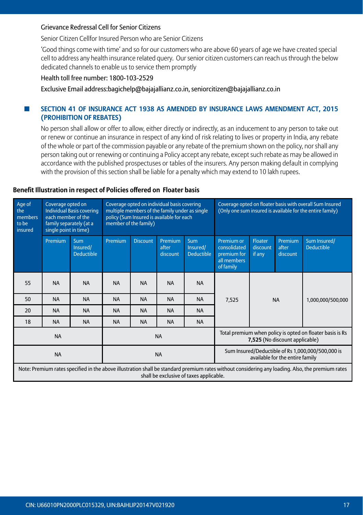#### Grievance Redressal Cell for Senior Citizens

Senior Citizen Cellfor Insured Person who are Senior Citizens

 'Good things come with time' and so for our customers who are above 60 years of age we have created special cell to address any health insurance related query. Our senior citizen customers can reach us through the below dedicated channels to enable us to service them promptly

#### Health toll free number: 1800-103-2529

Exclusive Email address:bagichelp@bajajallianz.co.in, seniorcitizen@bajajallianz.co.in

#### ■ SECTION 41 OF INSURANCE ACT 1938 AS AMENDED BY INSURANCE LAWS AMENDMENT ACT, 2015 **(Prohibition of Rebates)**

 No person shall allow or offer to allow, either directly or indirectly, as an inducement to any person to take out or renew or continue an insurance in respect of any kind of risk relating to lives or property in India, any rebate of the whole or part of the commission payable or any rebate of the premium shown on the policy, nor shall any person taking out or renewing or continuing a Policy accept any rebate, except such rebate as may be allowed in accordance with the published prospectuses or tables of the insurers. Any person making default in complying with the provision of this section shall be liable for a penalty which may extend to 10 lakh rupees.

#### **Benefit Illustration in respect of Policies offered on Floater basis**

| Age of<br>the<br>members<br>to be<br>insured | Coverage opted on<br>each member of the<br>family separately (at a<br>single point in time) | <b>Individual Basis covering</b>            | member of the family) |                 | Coverage opted on individual basis covering<br>multiple members of the family under as single<br>policy (Sum Insured is available for each |                                             |                                                                       |                               |                                 | Coverage opted on floater basis with overall Sum Insured<br>(Only one sum insured is available for the entire family)                            |
|----------------------------------------------|---------------------------------------------------------------------------------------------|---------------------------------------------|-----------------------|-----------------|--------------------------------------------------------------------------------------------------------------------------------------------|---------------------------------------------|-----------------------------------------------------------------------|-------------------------------|---------------------------------|--------------------------------------------------------------------------------------------------------------------------------------------------|
|                                              | Premium                                                                                     | <b>Sum</b><br>Insured/<br><b>Deductible</b> | Premium               | <b>Discount</b> | Premium<br>after<br>discount                                                                                                               | <b>Sum</b><br>Insured/<br><b>Deductible</b> | Premium or<br>consolidated<br>premium for<br>all members<br>of family | Floater<br>discount<br>if any | Premium<br>after<br>discount    | Sum Insured/<br><b>Deductible</b>                                                                                                                |
| 55                                           | <b>NA</b>                                                                                   | <b>NA</b>                                   | <b>NA</b>             | <b>NA</b>       | <b>NA</b>                                                                                                                                  | <b>NA</b>                                   |                                                                       |                               |                                 |                                                                                                                                                  |
| 50                                           | <b>NA</b>                                                                                   | <b>NA</b>                                   | <b>NA</b>             | <b>NA</b>       | <b>NA</b>                                                                                                                                  | <b>NA</b>                                   | 7,525                                                                 |                               | <b>NA</b>                       | 1,000,000/500,000                                                                                                                                |
| 20                                           | <b>NA</b>                                                                                   | <b>NA</b>                                   | <b>NA</b>             | <b>NA</b>       | <b>NA</b>                                                                                                                                  | <b>NA</b>                                   |                                                                       |                               |                                 |                                                                                                                                                  |
| 18                                           | <b>NA</b>                                                                                   | <b>NA</b>                                   | <b>NA</b>             | <b>NA</b>       | <b>NA</b>                                                                                                                                  | <b>NA</b>                                   |                                                                       |                               |                                 |                                                                                                                                                  |
|                                              | <b>NA</b>                                                                                   |                                             |                       |                 | <b>NA</b>                                                                                                                                  |                                             |                                                                       |                               | 7,525 (No discount applicable)  | Total premium when policy is opted on floater basis is Rs                                                                                        |
|                                              | <b>NA</b>                                                                                   |                                             |                       |                 | <b>NA</b>                                                                                                                                  |                                             |                                                                       |                               | available for the entire family | Sum Insured/Deductible of Rs 1,000,000/500,000 is                                                                                                |
|                                              |                                                                                             |                                             |                       |                 |                                                                                                                                            | shall be exclusive of taxes applicable.     |                                                                       |                               |                                 | Note: Premium rates specified in the above illustration shall be standard premium rates without considering any loading. Also, the premium rates |